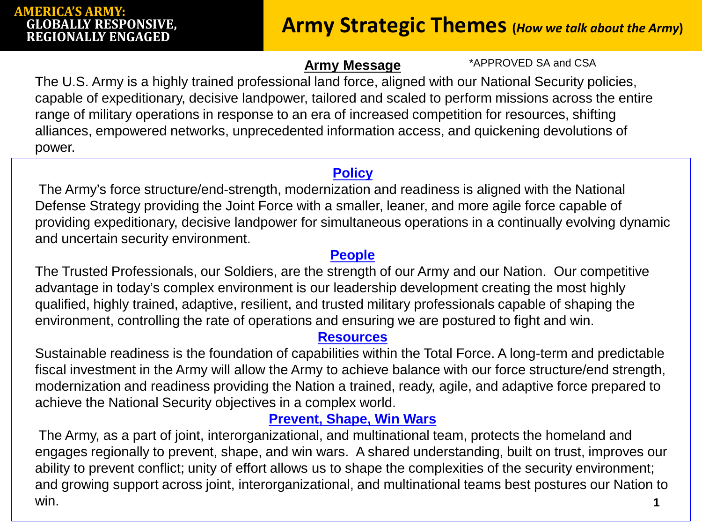## **AMERICA'S ARMY: GLOBALLY RESPONSIVE,**

## **Army Strategic Themes** (*How we talk about the Army*)

#### **Army Message**

\*APPROVED SA and CSA

The U.S. Army is a highly trained professional land force, aligned with our National Security policies, capable of expeditionary, decisive landpower, tailored and scaled to perform missions across the entire range of military operations in response to an era of increased competition for resources, shifting alliances, empowered networks, unprecedented information access, and quickening devolutions of power.

#### **Policy**

The Army's force structure/end-strength, modernization and readiness is aligned with the National Defense Strategy providing the Joint Force with a smaller, leaner, and more agile force capable of providing expeditionary, decisive landpower for simultaneous operations in a continually evolving dynamic and uncertain security environment.

#### **People**

The Trusted Professionals, our Soldiers, are the strength of our Army and our Nation. Our competitive advantage in today's complex environment is our leadership development creating the most highly qualified, highly trained, adaptive, resilient, and trusted military professionals capable of shaping the environment, controlling the rate of operations and ensuring we are postured to fight and win.

#### **Resources**

Sustainable readiness is the foundation of capabilities within the Total Force. A long-term and predictable fiscal investment in the Army will allow the Army to achieve balance with our force structure/end strength, modernization and readiness providing the Nation a trained, ready, agile, and adaptive force prepared to achieve the National Security objectives in a complex world.

### **Prevent, Shape, Win Wars**

**1** The Army, as a part of joint, interorganizational, and multinational team, protects the homeland and engages regionally to prevent, shape, and win wars. A shared understanding, built on trust, improves our ability to prevent conflict; unity of effort allows us to shape the complexities of the security environment; and growing support across joint, interorganizational, and multinational teams best postures our Nation to win.